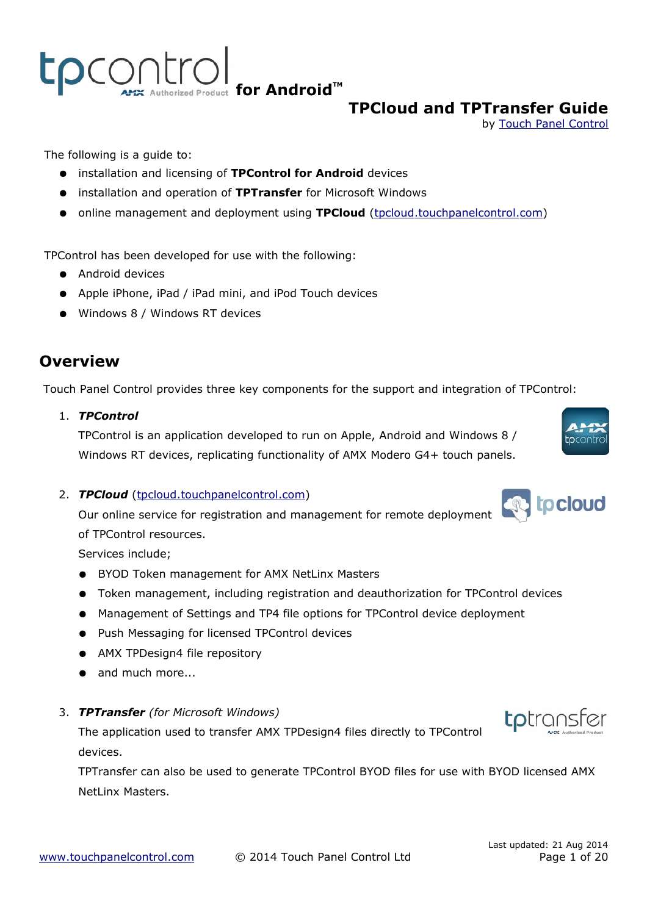tpcontro Authorized Product for Android<sup>™</sup>

# **TPCloud and TPTransfer Guide**

by [Touch Panel](http://www.touchpanelcontrol.com/) [Control](http://www.touchpanelcontrol.com/)

The following is a guide to:

- installation and licensing of **TPControl for Android** devices
- installation and operation of **TPTransfer** for Microsoft Windows
- online management and deployment using **TPCloud** (tpcloud.touchpanelcontrol.com)

TPControl has been developed for use with the following:

- Android devices
- Apple iPhone, iPad / iPad mini, and iPod Touch devices
- Windows 8 / Windows RT devices

# **Overview**

Touch Panel Control provides three key components for the support and integration of TPControl:

1. *TPControl*

TPControl is an application developed to run on Apple, Android and Windows 8 / Windows RT devices, replicating functionality of AMX Modero G4+ touch panels.

2. **TPCloud** (tpcloud.touchpanelcontrol.com)

Our online service for registration and management for remote deployment

of TPControl resources.

Services include;

- BYOD Token management for AMX NetLinx Masters
- Token management, including registration and deauthorization for TPControl devices
- Management of Settings and TP4 file options for TPControl device deployment
- Push Messaging for licensed TPControl devices
- AMX TPDesign4 file repository
- and much more...
- 3. *TPTransfer (for Microsoft Windows)*

The application used to transfer AMX TPDesign4 files directly to TPControl devices.

TPTransfer can also be used to generate TPControl BYOD files for use with BYOD licensed AMX NetLinx Masters.





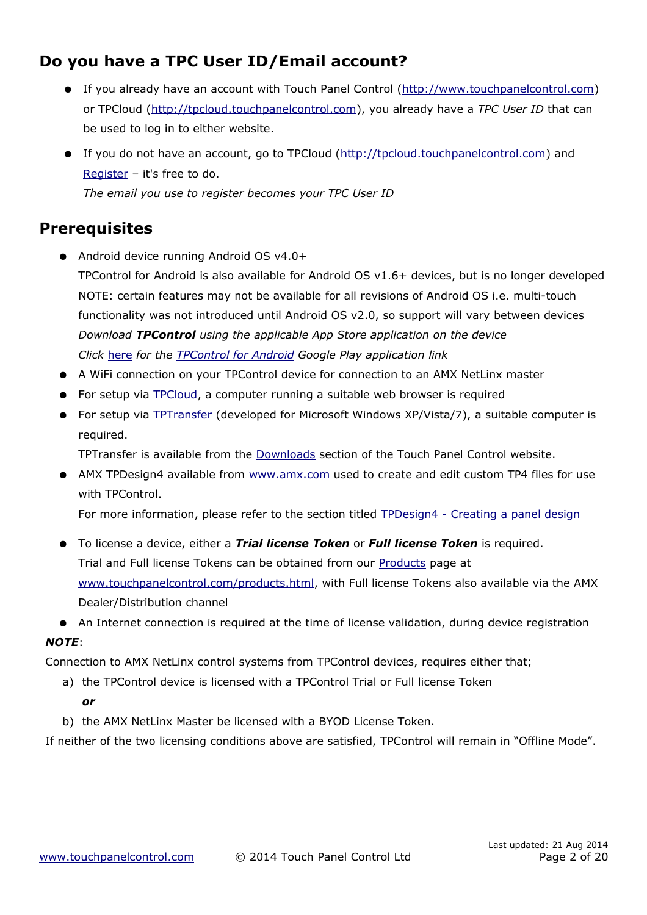# **Do you have a TPC User ID/Email account?**

- If you already have an account with [Touch Panel Control](file:///D:/Google%20Drive/TPC/TPC%20Manuals_APIs/(http://www.touchpanelcontrol.com)%20) [\(http://www.touchpanelcontrol.com\)](http://www.touchpanelcontrol.com/) or TPCloud [\(http://tpcloud.touchpanelcontrol.com\)](http://tpcloud.touchpanelcontrol.com/), you already have a *TPC User ID* that can be used to log in to either website.
- If you do not have an account, go to [TPCloud](http://tpcloud.touchpanelcontrol.com/) [\(http://tpcloud.touchpanelcontrol.com\)](http://tpcloud.touchpanelcontrol.com/) and [Register](http://tpcloud.touchpanelcontrol.com/en/user/register) – it's free to do. *The email you use to register becomes your TPC User ID*

### **Prerequisites**

- Android device running Android OS v4.0+
	- TPControl for Android is also available for Android OS v1.6+ devices, but is no longer developed NOTE: certain features may not be available for all revisions of Android OS i.e. multi-touch functionality was not introduced until Android OS v2.0, so support will vary between devices *Download TPControl using the applicable App Store application on the device Click* [here](https://play.google.com/store/apps/details?id=com.touchpanelcontrol.tpcontrol) *for the [TPControl for Android](https://play.google.com/store/apps/details?id=com.touchpanelcontrol.tpcontrol) Google Play application link*
- A WiFi connection on your TPControl device for connection to an AMX NetLinx master
- For setup via [TPCloud,](http://tpcloud.touchpanelcontrol.com/) a computer running a suitable web browser is required
- For setup via [TPTransfer](https://www.touchpanelcontrol.com/catalog/product/redirect/type/tptransfer/latest/1/s/w) (developed for Microsoft Windows XP/Vista/7), a suitable computer is required.

TPTransfer is available from the [Downloads](http://www.touchpanelcontrol.com/catalog/product/download) section of the Touch Panel Control website.

● AMX TPDesign4 available from www.amx.com used to create and edit custom TP4 files for use with TPControl.

For more information, please refer to the section titled **TPDesign4** - Creating a panel design

- To license a device, either a *Trial license Token* or *Full license Token* is required. Trial and Full license Tokens can be obtained from our [Products](http://www.touchpanelcontrol.com/products.html) page at [www.touchpanelcontrol.com/products.html,](http://www.touchpanelcontrol.com/products.html) with Full license Tokens also available via the AMX Dealer/Distribution channel
- An Internet connection is required at the time of license validation, during device registration *NOTE*:

Connection to AMX NetLinx control systems from TPControl devices, requires either that;

- a) the TPControl device is licensed with a TPControl Trial or Full license Token *or*
- b) the AMX NetLinx Master be licensed with a BYOD License Token.

If neither of the two licensing conditions above are satisfied, TPControl will remain in "Offline Mode".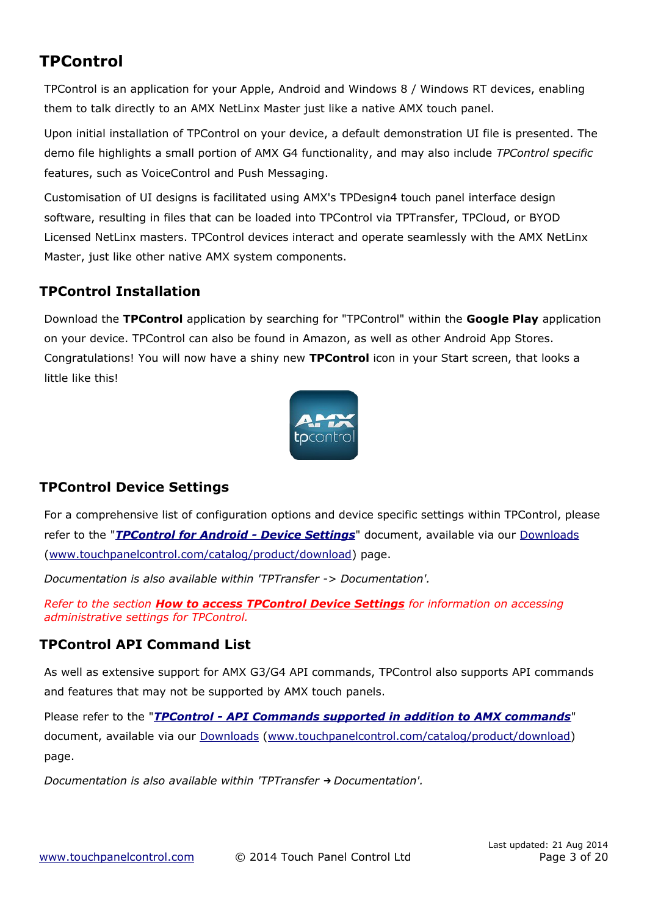# **TPControl**

TPControl is an application for your Apple, Android and Windows 8 / Windows RT devices, enabling them to talk directly to an AMX NetLinx Master just like a native AMX touch panel.

Upon initial installation of TPControl on your device, a default demonstration UI file is presented. The demo file highlights a small portion of AMX G4 functionality, and may also include *TPControl specific* features, such as VoiceControl and Push Messaging.

Customisation of UI designs is facilitated using AMX's TPDesign4 touch panel interface design software, resulting in files that can be loaded into TPControl via TPTransfer, TPCloud, or BYOD Licensed NetLinx masters. TPControl devices interact and operate seamlessly with the AMX NetLinx Master, just like other native AMX system components.

### **TPControl Installation**

Download the **TPControl** application by searching for "TPControl" within the **Google Play** application on your device. TPControl can also be found in Amazon, as well as other Android App Stores. Congratulations! You will now have a shiny new **TPControl** icon in your Start screen, that looks a little like this!



### <span id="page-2-0"></span>**TPControl Device Settings**

For a comprehensive list of configuration options and device specific settings within TPControl, please refer to the "*TPControl for Android - Device Settings*" document, available via our [Downloads](http://www.touchpanelcontrol.com/catalog/product/download) [\(www.touchpanelcontrol.com/catalog/product/download\)](http://www.touchpanelcontrol.com/catalog/product/download) page.

*Documentation is also available within 'TPTransfer -> Documentation'.*

*Refer to the section [How to access TPControl Device Settings](#page-10-0) for information on accessing administrative settings for TPControl.*

### **TPControl API Command List**

As well as extensive support for AMX G3/G4 API commands, TPControl also supports API commands and features that may not be supported by AMX touch panels.

Please refer to the "*[TPControl - API Commands supported in addition to AMX commands](http://www.touchpanelcontrol.com/files/pdf/TPControl%20-%20API%20Commands%20supported%20in%20addition%20to%20AMX%20commands.pdf)*" document, available via our [Downloads \(www.touchpanelcontrol.com/catalog/product/download\)](http://www.touchpanelcontrol.com/catalog/product/download) page.

*Documentation is also available within 'TPTransfer → Documentation'.*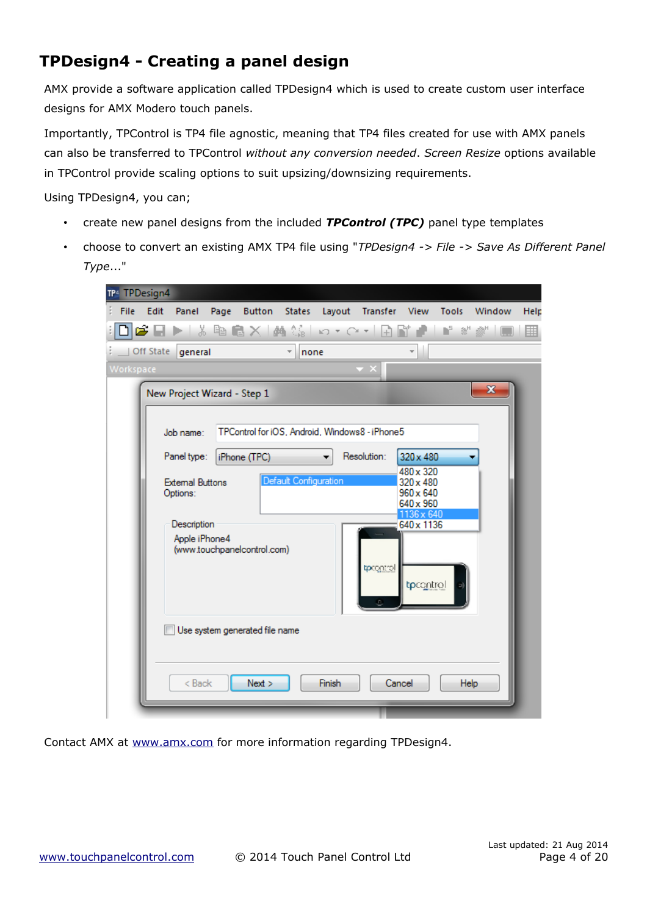# <span id="page-3-0"></span>**TPDesign4 - Creating a panel design**

AMX provide a software application called TPDesign4 which is used to create custom user interface designs for AMX Modero touch panels.

Importantly, TPControl is TP4 file agnostic, meaning that TP4 files created for use with AMX panels can also be transferred to TPControl *without any conversion needed*. *Screen Resize* options available in TPControl provide scaling options to suit upsizing/downsizing requirements.

Using TPDesign4, you can;

- create new panel designs from the included *TPControl (TPC)* panel type templates
- choose to convert an existing AMX TP4 file using "*TPDesign4 -> File -> Save As Different Panel Type*..."

| TP4 TPDesign4                                                                                                                                                                                                                                                                                            |      |
|----------------------------------------------------------------------------------------------------------------------------------------------------------------------------------------------------------------------------------------------------------------------------------------------------------|------|
| Edit<br>Panel Page<br>Button States Layout Transfer View Tools<br>Window<br>File                                                                                                                                                                                                                         | Help |
| <b>@BDDIX@@X @@</b> @ ∽∽C~ Ω@`@` ∎`*`@* <br>$\Box$                                                                                                                                                                                                                                                       | 囲    |
| $\overline{\phantom{a}}$<br>Off State<br>none<br>general                                                                                                                                                                                                                                                 |      |
| Workspace                                                                                                                                                                                                                                                                                                |      |
| x<br>New Project Wizard - Step 1                                                                                                                                                                                                                                                                         |      |
| TPControl for iOS, Android, Windows8 - iPhone5<br>Job name:                                                                                                                                                                                                                                              |      |
| Resolution:<br>Panel type:<br>320 x 480<br>iPhone (TPC)<br>480 x 320<br>Default Configuration<br><b>External Buttons</b><br>320 x 480<br>$960 \times 640$<br>Options:<br>640 x 960<br>1136 x 640<br>640 x 1136<br>Description<br>Apple iPhone4<br>(www.touchpanelcontrol.com)<br>tprogritol<br>tpcontrol |      |
| Use system generated file name<br>Next<br>Finish<br>< Back<br>Cancel<br><b>Help</b>                                                                                                                                                                                                                      |      |
|                                                                                                                                                                                                                                                                                                          |      |

Contact AMX at [www.amx.com](http://www.amx.com/) for more information regarding TPDesign4.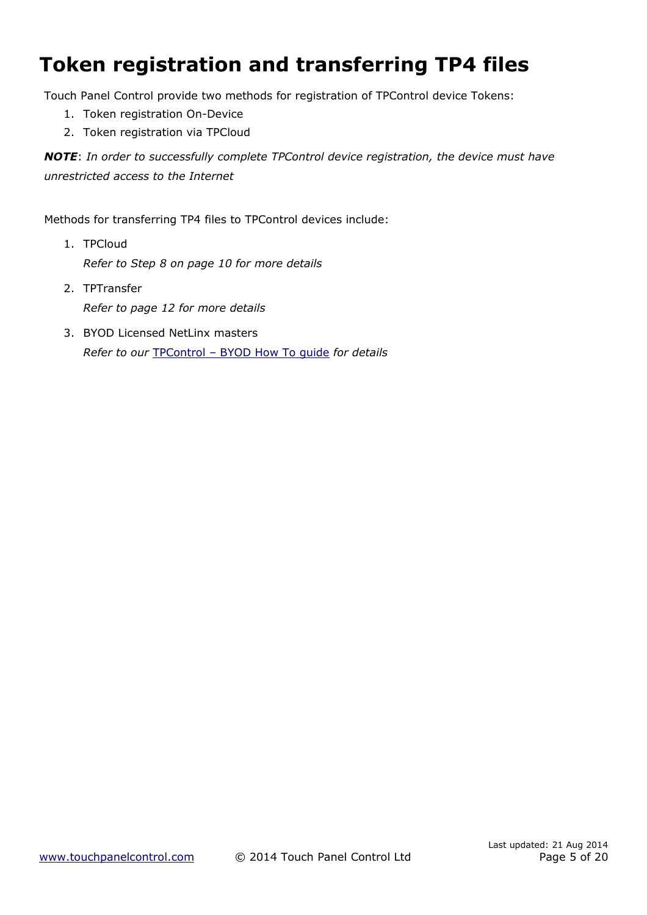# **Token registration and transferring TP4 files**

Touch Panel Control provide two methods for registration of TPControl device Tokens:

- 1. [Token registration On-Device](#page-5-0)
- 2. [Token registration via TPCloud](#page-6-0)

*NOTE*: *In order to successfully complete TPControl device registration, the device must have unrestricted access to the Internet*

Methods for transferring TP4 files to TPControl devices include:

- 1. TPCloud *Refer to Step [8](#page-9-0) on page [10](#page-9-0) for more details*
- 2. TPTransfer *Refer to page [12](#page-11-0) for more details*
- 3. BYOD Licensed NetLinx masters *Refer to our* [TPControl – BYOD How To guide](http://www.touchpanelcontrol.com/files/pdf/TPControl%20-%20BYOD%20How%20To.pdf) *for details*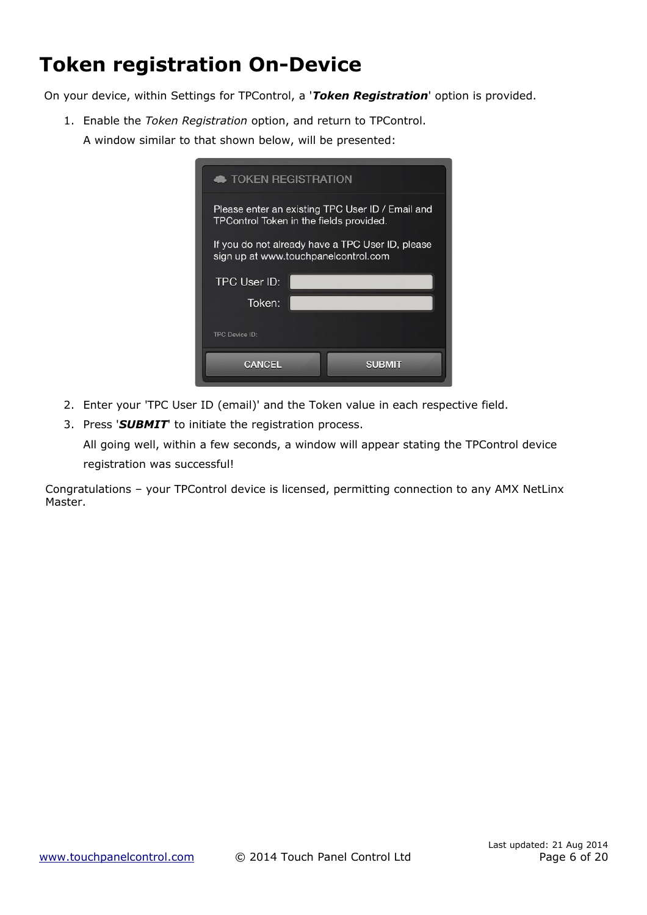# <span id="page-5-0"></span>**Token registration On-Device**

On your device, within Settings for TPControl, a '*Token Registration*' option is provided.

1. Enable the *Token Registration* option, and return to TPControl. A window similar to that shown below, will be presented:

| <b>TOKEN REGISTRATION</b>                                                                    |
|----------------------------------------------------------------------------------------------|
| Please enter an existing TPC User ID / Email and<br>TPC ontrol Token in the fields provided. |
| If you do not already have a TPC User ID, please<br>sign up at www.touchpanelcontrol.com     |
| TPC User ID:                                                                                 |
| Token:                                                                                       |
| <b>TPC Device ID:</b>                                                                        |
|                                                                                              |

- 2. Enter your 'TPC User ID (email)' and the Token value in each respective field.
- 3. Press '*SUBMIT*' to initiate the registration process.

All going well, within a few seconds, a window will appear stating the TPControl device registration was successful!

Congratulations – your TPControl device is licensed, permitting connection to any AMX NetLinx Master.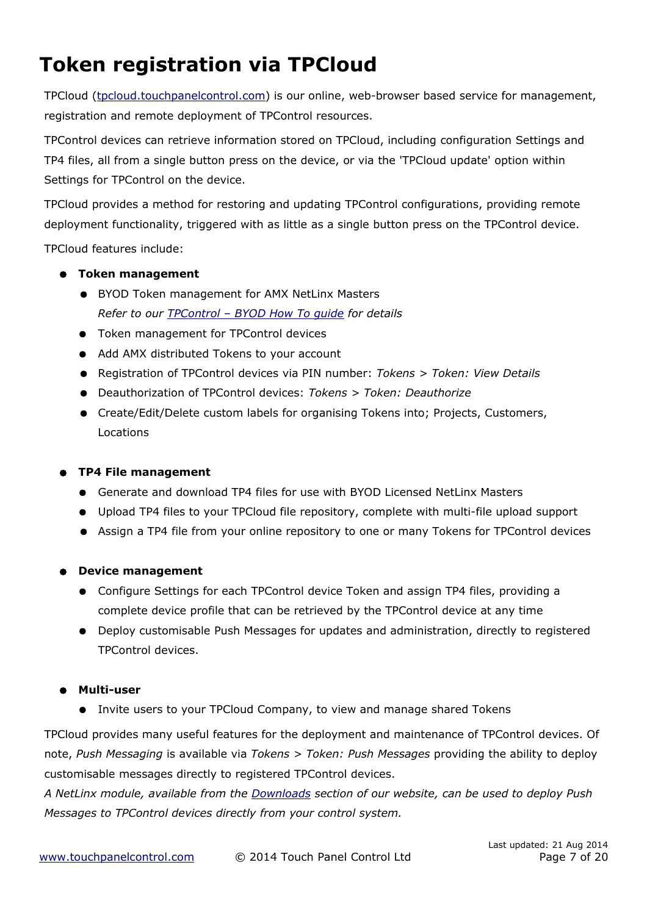# <span id="page-6-0"></span>**Token registration via TPCloud**

TPCloud (tpcloud.touchpanelcontrol.com) is our online, web-browser based service for management, registration and remote deployment of TPControl resources.

TPControl devices can retrieve information stored on TPCloud, including configuration Settings and TP4 files, all from a single button press on the device, or via the 'TPCloud update' option within Settings for TPControl on the device.

TPCloud provides a method for restoring and updating TPControl configurations, providing remote deployment functionality, triggered with as little as a single button press on the TPControl device.

TPCloud features include:

- **Token management**
	- BYOD Token management for AMX NetLinx Masters *Refer to our [TPControl – BYOD How To guide](http://www.touchpanelcontrol.com/files/pdf/TPControl%20-%20BYOD%20How%20To.pdf) for details*
	- Token management for TPControl devices
	- Add AMX distributed Tokens to your account
	- Registration of TPControl devices via PIN number: *Tokens > Token: View Details*
	- Deauthorization of TPControl devices: *Tokens > Token: Deauthorize*
	- Create/Edit/Delete custom labels for organising Tokens into; Projects, Customers, Locations

### ● **TP4 File management**

- Generate and download TP4 files for use with BYOD Licensed NetLinx Masters
- Upload TP4 files to your TPCloud file repository, complete with multi-file upload support
- Assign a TP4 file from your online repository to one or many Tokens for TPControl devices

### ● **Device management**

- Configure Settings for each TPControl device Token and assign TP4 files, providing a complete device profile that can be retrieved by the TPControl device at any time
- Deploy customisable Push Messages for updates and administration, directly to registered TPControl devices.

### ● **Multi-user**

● Invite users to your TPCloud Company, to view and manage shared Tokens

TPCloud provides many useful features for the deployment and maintenance of TPControl devices. Of note, *Push Messaging* is available via *Tokens > Token: Push Messages* providing the ability to deploy customisable messages directly to registered TPControl devices.

*A NetLinx module, available from the [Downloads](http://www.touchpanelcontrol.com/catalog/product/download) section of our website, can be used to deploy Push Messages to TPControl devices directly from your control system.*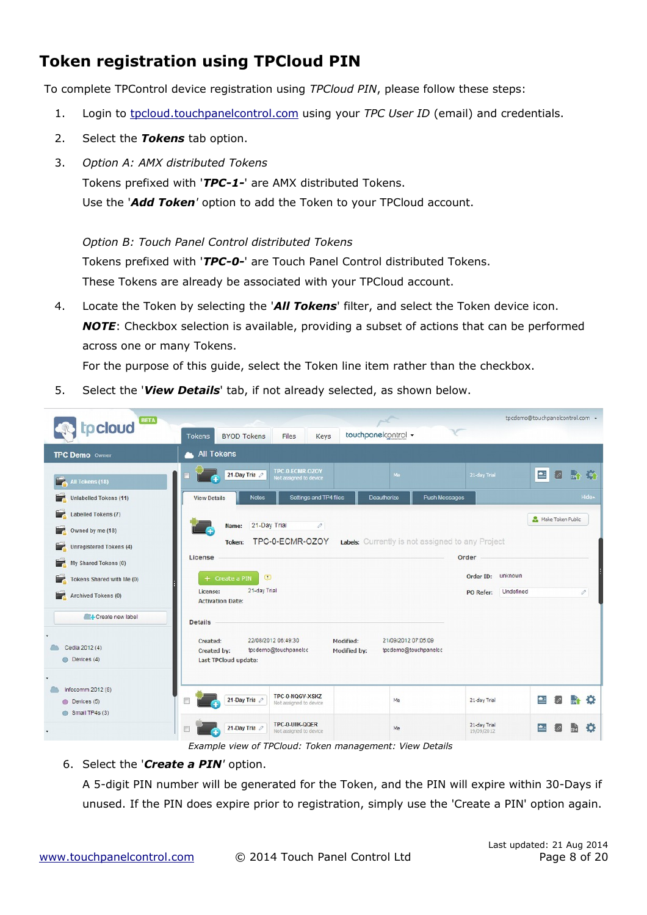# <span id="page-7-0"></span>**Token registration using TPCloud PIN**

To complete TPControl device registration using *TPCloud PIN*, please follow these steps:

- 1. Login to tpcloud touchpanelcontrol .com using your *TPC User ID* (email) and credentials.
- 2. Select the *Tokens* tab option.
- 3. *Option A: AMX distributed Tokens*

Tokens prefixed with '*TPC-1-*' are AMX distributed Tokens.

Use the '*Add Token'* option to add the Token to your TPCloud account.

*Option B: Touch Panel Control distributed Tokens*

Tokens prefixed with '*TPC-0-*' are Touch Panel Control distributed Tokens.

These Tokens are already be associated with your TPCloud account.

4. Locate the Token by selecting the '*All Tokens*' filter, and select the Token device icon. *NOTE*: Checkbox selection is available, providing a subset of actions that can be performed across one or many Tokens.

For the purpose of this guide, select the Token line item rather than the checkbox.

5. Select the '*View Details*' tab, if not already selected, as shown below.



*Example view of TPCloud: Token management: View Details*

#### 6. Select the '*Create a PIN'* option.

A 5-digit PIN number will be generated for the Token, and the PIN will expire within 30-Days if unused. If the PIN does expire prior to registration, simply use the 'Create a PIN' option again.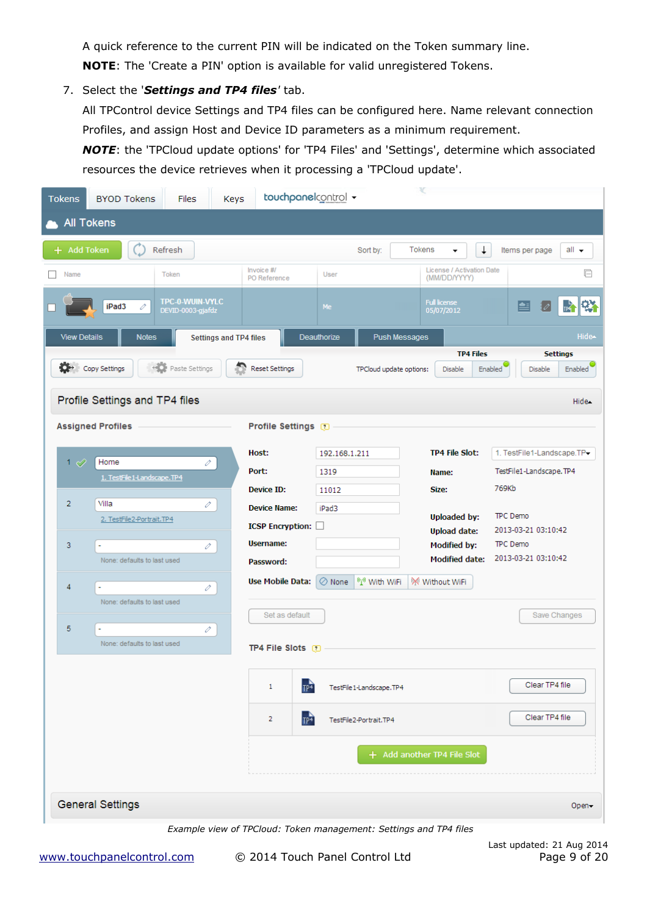A quick reference to the current PIN will be indicated on the Token summary line. **NOTE**: The 'Create a PIN' option is available for valid unregistered Tokens.

7. Select the '*Settings and TP4 files'* tab.

All TPControl device Settings and TP4 files can be configured here. Name relevant connection Profiles, and assign Host and Device ID parameters as a minimum requirement.

*NOTE*: the 'TPCloud update options' for 'TP4 Files' and 'Settings', determine which associated resources the device retrieves when it processing a 'TPCloud update'.

| <b>Tokens</b>       | <b>BYOD Tokens</b>                  | <b>Files</b>                         | Keys                          | touchpanelcontrol +                                               |                |                         |                         | v                                            |                                                         |  |
|---------------------|-------------------------------------|--------------------------------------|-------------------------------|-------------------------------------------------------------------|----------------|-------------------------|-------------------------|----------------------------------------------|---------------------------------------------------------|--|
|                     | <b>All Tokens</b>                   |                                      |                               |                                                                   |                |                         |                         |                                              |                                                         |  |
| + Add Token         |                                     | Refresh                              |                               |                                                                   |                | Sort by:                | Tokens                  | $\downarrow$                                 | $all -$<br>Items per page                               |  |
| Name                |                                     | Token                                |                               | Invoice #/<br>PO Reference                                        | User           |                         |                         | License / Activation Date<br>(MM/DD/YYYY)    | 日                                                       |  |
|                     | iPad3<br>v                          | TPC-0-WUIN-VYLC<br>DEVID-0003-gjafdz |                               |                                                                   | Me             |                         |                         | <b>Full license</b><br>05/07/2012            | 畸群<br>e                                                 |  |
| <b>View Details</b> | <b>Notes</b>                        |                                      | <b>Settings and TP4 files</b> |                                                                   | Deauthorize    |                         | <b>Push Messages</b>    |                                              | Hide-                                                   |  |
| o-                  | Copy Settings                       | <b>Paste Settings</b>                |                               | <b>Reset Settings</b>                                             |                |                         | TPCloud update options: | <b>TP4 Files</b><br>Disable                  | <b>Settings</b><br>Enabled<br><b>Enabled</b><br>Disable |  |
|                     | Profile Settings and TP4 files      |                                      |                               |                                                                   |                |                         |                         |                                              | Hide-                                                   |  |
|                     | <b>Assigned Profiles</b>            |                                      |                               | <b>Profile Settings</b>                                           |                |                         |                         |                                              |                                                         |  |
|                     |                                     |                                      |                               | Host:                                                             | 192.168.1.211  |                         |                         | <b>TP4 File Slot:</b>                        | 1. TestFile1-Landscape.TP-                              |  |
| 1 $\varnothing$     | Home<br>1. TestFile 1-Landscape.TP4 | v                                    |                               | Port:                                                             | 1319           |                         |                         | Name:                                        | TestFile1-Landscape.TP4                                 |  |
|                     | Villa                               |                                      |                               | Device ID:                                                        | 11012          |                         |                         | Size:                                        | 769Kb                                                   |  |
| $\overline{2}$      | 2. TestFile2-Portrait.TP4           | v                                    |                               | <b>Device Name:</b>                                               | iPad3          |                         |                         | <b>Uploaded by:</b>                          | TPC Demo                                                |  |
|                     |                                     |                                      |                               | <b>ICSP Encryption:</b>                                           |                |                         |                         | <b>Upload date:</b>                          | 2013-03-21 03:10:42                                     |  |
| 3                   | ÷,<br>None: defaults to last used   | v                                    |                               | Username:<br>Password:                                            |                |                         |                         | <b>Modified by:</b><br><b>Modified date:</b> | TPC Demo<br>2013-03-21 03:10:42                         |  |
| 4                   |                                     | v                                    |                               | <b>Use Mobile Data:</b>                                           | $\oslash$ None | <sup>60</sup> With WiFi |                         | W Without WiFi                               |                                                         |  |
|                     | None: defaults to last used         |                                      |                               |                                                                   |                |                         |                         |                                              |                                                         |  |
| 5                   |                                     | v                                    |                               | Set as default                                                    |                |                         |                         |                                              | Save Changes                                            |  |
|                     | None: defaults to last used         |                                      |                               | <b>TP4 File Slots</b>                                             |                |                         |                         |                                              |                                                         |  |
|                     |                                     |                                      |                               | 1<br>TP <sub>4</sub>                                              |                | TestFile1-Landscape.TP4 |                         |                                              | Clear TP4 file                                          |  |
|                     |                                     |                                      |                               | TP <sup>4</sup><br>2                                              |                | TestFile2-Portrait.TP4  |                         |                                              | Clear TP4 file                                          |  |
|                     |                                     |                                      |                               |                                                                   |                |                         |                         | + Add another TP4 File Slot                  |                                                         |  |
|                     | <b>General Settings</b>             |                                      |                               |                                                                   |                |                         |                         |                                              | Open-                                                   |  |
|                     |                                     |                                      |                               | Example view of TPCloud: Token management: Settings and TP4 files |                |                         |                         |                                              |                                                         |  |

 [www . touchpanelcontrol .com](http://www.touchpanelcontrol.com/) © 2014 Touch Panel Control Ltd Page 9 of 20

Last updated: 21 Aug 2014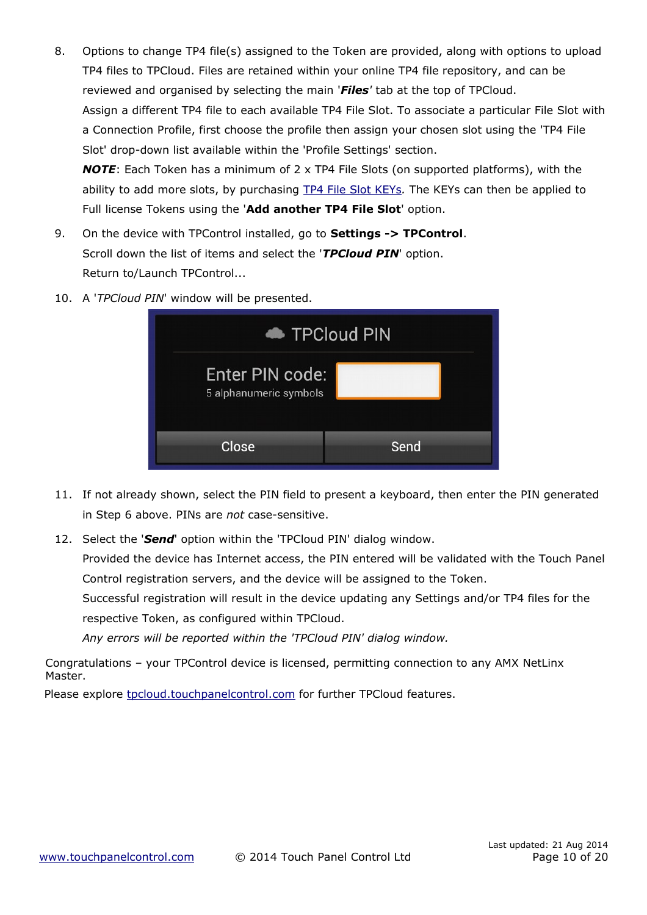- <span id="page-9-0"></span>8. Options to change TP4 file(s) assigned to the Token are provided, along with options to upload TP4 files to TPCloud. Files are retained within your online TP4 file repository, and can be reviewed and organised by selecting the main '*Files'* tab at the top of TPCloud. Assign a different TP4 file to each available TP4 File Slot. To associate a particular File Slot with a Connection Profile, first choose the profile then assign your chosen slot using the 'TP4 File Slot' drop-down list available within the 'Profile Settings' section. *NOTE*: Each Token has a minimum of 2 x TP4 File Slots (on supported platforms), with the ability to add more slots, by purchasing [TP4 File Slot KEYs](http://www.touchpanelcontrol.com/products/tp4-key.html)*.* The KEYs can then be applied to Full license Tokens using the '**Add another TP4 File Slot**' option.
- 9. On the device with TPControl installed, go to **Settings -> TPControl**. Scroll down the list of items and select the '*TPCloud PIN*' option. Return to/Launch TPControl...
- 10. A '*TPCloud PIN*' window will be presented.

|                                           | TPCloud PIN |
|-------------------------------------------|-------------|
| Enter PIN code:<br>5 alphanumeric symbols |             |
| Close                                     | Send        |

- 11. If not already shown, select the PIN field to present a keyboard, then enter the PIN generated in Step 6 above. PINs are *not* case-sensitive.
- 12. Select the '*Send*' option within the 'TPCloud PIN' dialog window.

Provided the device has Internet access, the PIN entered will be validated with the Touch Panel Control registration servers, and the device will be assigned to the Token.

Successful registration will result in the device updating any Settings and/or TP4 files for the respective Token, as configured within TPCloud.

*Any errors will be reported within the 'TPCloud PIN' dialog window.*

Congratulations – your TPControl device is licensed, permitting connection to any AMX NetLinx Master.

Please explore tpcloud .touchpanelcontrol.com for further TPCloud features.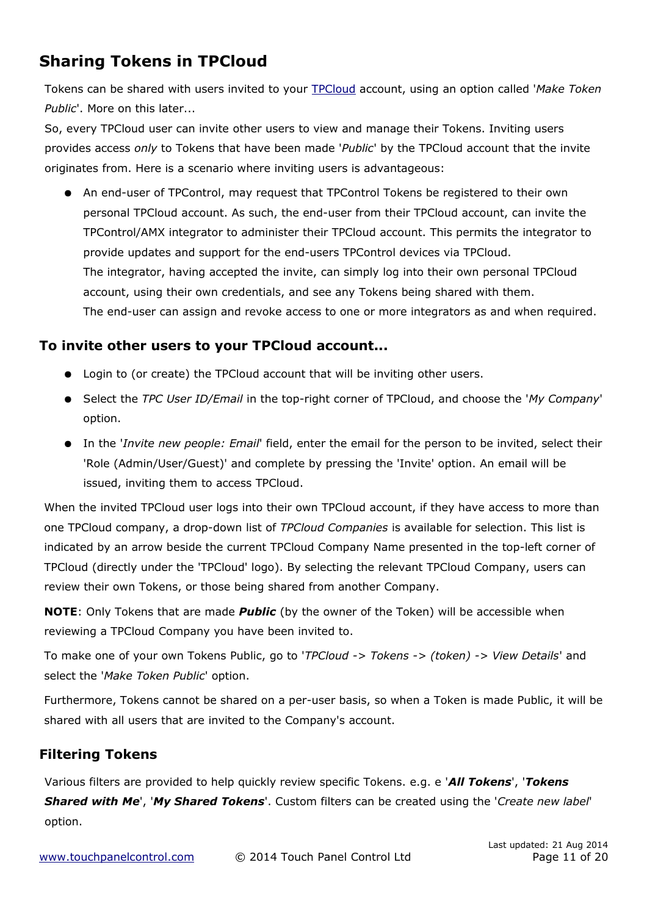# **Sharing Tokens in TPCloud**

<span id="page-10-0"></span>Tokens can be shared with users invited to your [TPCloud](http://tpcloud.touchpanelcontrol.com/) account, using an option called '*Make Token Public*'. More on this later...

So, every TPCloud user can invite other users to view and manage their Tokens. Inviting users provides access *only* to Tokens that have been made '*Public*' by the TPCloud account that the invite originates from. Here is a scenario where inviting users is advantageous:

● An end-user of TPControl, may request that TPControl Tokens be registered to their own personal TPCloud account. As such, the end-user from their TPCloud account, can invite the TPControl/AMX integrator to administer their TPCloud account. This permits the integrator to provide updates and support for the end-users TPControl devices via TPCloud. The integrator, having accepted the invite, can simply log into their own personal TPCloud account, using their own credentials, and see any Tokens being shared with them. The end-user can assign and revoke access to one or more integrators as and when required.

### **To invite other users to your TPCloud account...**

- Login to (or create) the TPCloud account that will be inviting other users.
- Select the *TPC User ID/Email* in the top-right corner of TPCloud, and choose the '*My Company*' option.
- In the '*Invite new people: Email*' field, enter the email for the person to be invited, select their 'Role (Admin/User/Guest)' and complete by pressing the 'Invite' option. An email will be issued, inviting them to access TPCloud.

When the invited TPCloud user logs into their own TPCloud account, if they have access to more than one TPCloud company, a drop-down list of *TPCloud Companies* is available for selection. This list is indicated by an arrow beside the current TPCloud Company Name presented in the top-left corner of TPCloud (directly under the 'TPCloud' logo). By selecting the relevant TPCloud Company, users can review their own Tokens, or those being shared from another Company.

**NOTE**: Only Tokens that are made *Public* (by the owner of the Token) will be accessible when reviewing a TPCloud Company you have been invited to.

To make one of your own Tokens Public, go to '*TPCloud -> Tokens -> (token) -> View Details*' and select the '*Make Token Public*' option.

Furthermore, Tokens cannot be shared on a per-user basis, so when a Token is made Public, it will be shared with all users that are invited to the Company's account.

### **Filtering Tokens**

Various filters are provided to help quickly review specific Tokens. e.g. e '*All Tokens*', '*Tokens Shared with Me*', '*My Shared Tokens*'. Custom filters can be created using the '*Create new label*' option.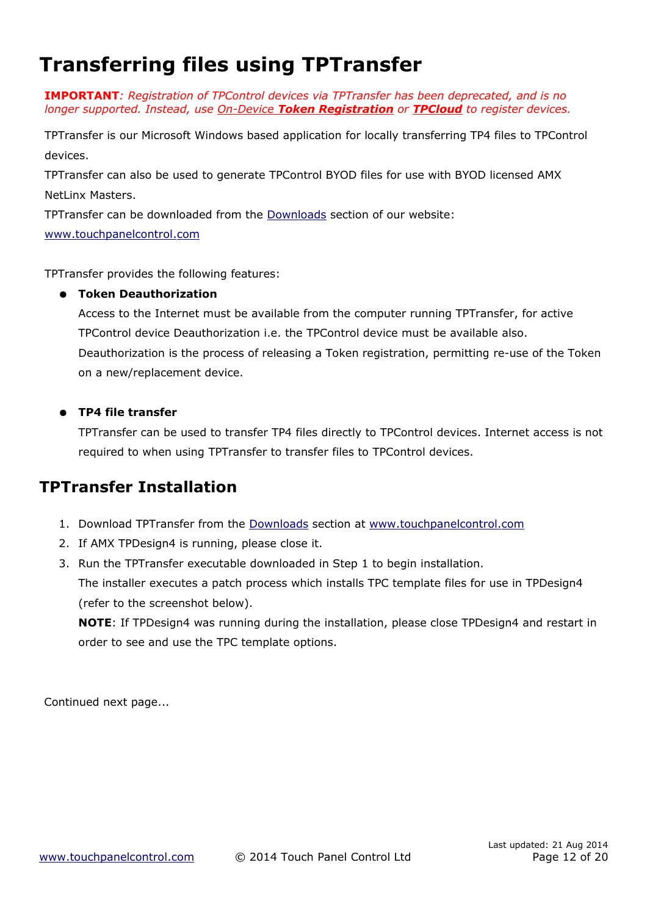# <span id="page-11-0"></span>**Transferring files using TPTransfer**

**IMPORTANT***: Registration of TPControl devices via TPTransfer has been deprecated, and is no longer supported. Instead, use [O](#page-5-0)[n-](#page-5-0)[D](#page-5-0)[evice](#page-5-0) [Token Registration](#page-5-0) or [TPCloud](#page-6-0) to register devices.* 

TPTransfer is our Microsoft Windows based application for locally transferring TP4 files to TPControl devices.

TPTransfer can also be used to generate TPControl BYOD files for use with BYOD licensed AMX NetLinx Masters.

TPTransfer can be downloaded from the [Downloads](http://www.touchpanelcontrol.com/catalog/product/download) section of our website:

 [www . touchpanelcontrol .com](http://www.touchpanelcontrol.com/)

TPTransfer provides the following features:

### ● **Token Deauthorization**

Access to the Internet must be available from the computer running TPTransfer, for active TPControl device Deauthorization i.e. the TPControl device must be available also. Deauthorization is the process of releasing a Token registration, permitting re-use of the Token on a new/replacement device.

### ● **TP4 file transfer**

TPTransfer can be used to transfer TP4 files directly to TPControl devices. Internet access is not required to when using TPTransfer to transfer files to TPControl devices.

### **TPTransfer Installation**

- 1. Download TPTransfer from the [Downloads](http://www.touchpanelcontrol.com/catalog/product/download) section at [www . touchpanelcontrol .com](http://www.touchpanelcontrol.com/)
- 2. If AMX TPDesign4 is running, please close it.
- 3. Run the TPTransfer executable downloaded in Step 1 to begin installation. The installer executes a patch process which installs TPC template files for use in TPDesign4 (refer to the screenshot below).

**NOTE**: If TPDesign4 was running during the installation, please close TPDesign4 and restart in order to see and use the TPC template options.

Continued next page...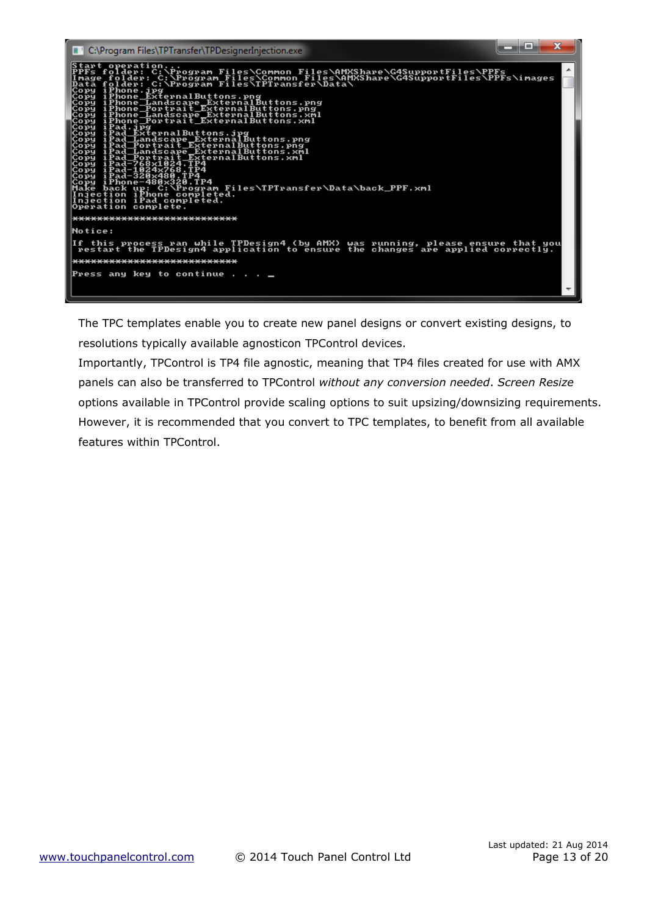

The TPC templates enable you to create new panel designs or convert existing designs, to resolutions typically available agnosticon TPControl devices.

Importantly, TPControl is TP4 file agnostic, meaning that TP4 files created for use with AMX panels can also be transferred to TPControl *without any conversion needed*. *Screen Resize* options available in TPControl provide scaling options to suit upsizing/downsizing requirements. However, it is recommended that you convert to TPC templates, to benefit from all available features within TPControl.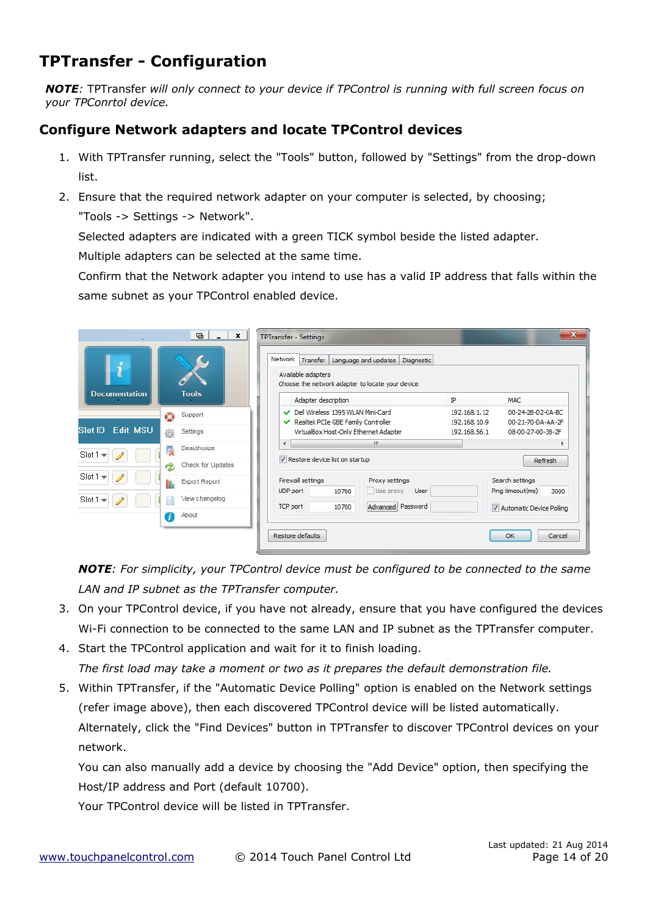# **TPTransfer - Configuration**

*NOTE:* TPTransfer *will only connect to your device if TPControl is running with full screen focus on your TPConrtol device.*

### **Configure Network adapters and locate TPControl devices**

- 1. With TPTransfer running, select the "Tools" button, followed by "Settings" from the drop-down list.
- 2. Ensure that the required network adapter on your computer is selected, by choosing;

"Tools -> Settings -> Network".

Selected adapters are indicated with a green TICK symbol beside the listed adapter.

Multiple adapters can be selected at the same time.

Confirm that the Network adapter you intend to use has a valid IP address that falls within the same subnet as your TPControl enabled device.

| $\boldsymbol{\mathcal{J}}$        | $\blacksquare$<br>$\mathbf{x}$ | <b>TPTransfer - Settings</b><br>Network<br>Transfer<br>Language and updates<br>Available adapters<br>Choose the network adapter to locate your device | Diagnostic                     | $\mathbf{x}$                                |
|-----------------------------------|--------------------------------|-------------------------------------------------------------------------------------------------------------------------------------------------------|--------------------------------|---------------------------------------------|
| <b>Documentation</b>              | <b>Tools</b>                   | Adapter description                                                                                                                                   | IP                             | <b>MAC</b>                                  |
|                                   | Support<br>O                   | Dell Wireless 1395 WLAN Mini-Card<br>Realtek PCIe GBE Family Controller                                                                               | 192.168.1.12<br>192, 168, 10.9 | 00-24-2B-D2-0A-BC<br>00-21-70-DA-AA-2F      |
| <b>Edit MSU</b><br><b>Slot ID</b> | Settings<br>養                  | VirtualBox Host-Only Ethernet Adapter                                                                                                                 | 192.168.56.1                   | 08-00-27-00-38-2F                           |
| Slot1<br>$\overline{\phantom{a}}$ | Deauthorize<br>راها            | m.<br>$\epsilon$<br>Restore device list on startup                                                                                                    |                                | Refresh                                     |
|                                   | Check for Updates<br>2         |                                                                                                                                                       |                                |                                             |
| $Slot1 =$                         | Export Report                  | Firewall settings<br>Proxy settings<br>Use proxy<br><b>UDP</b> port<br>10700                                                                          | <b>User</b>                    | Search settings<br>Ping timeout(ms)<br>3000 |
| $Slot1 =$                         | View changelog                 | TCP port<br>10700                                                                                                                                     | Advanced Password              | Automatic Device Polling                    |
|                                   | About<br>Æ                     |                                                                                                                                                       |                                |                                             |
|                                   |                                | Restore defaults                                                                                                                                      |                                | OK<br>Cancel                                |

*NOTE: For simplicity, your TPControl device must be configured to be connected to the same LAN and IP subnet as the TPTransfer computer.*

- 3. On your TPControl device, if you have not already, ensure that you have configured the devices Wi-Fi connection to be connected to the same LAN and IP subnet as the TPTransfer computer.
- 4. Start the TPControl application and wait for it to finish loading. *The first load may take a moment or two as it prepares the default demonstration file.*
- 5. Within TPTransfer, if the "Automatic Device Polling" option is enabled on the Network settings (refer image above), then each discovered TPControl device will be listed automatically. Alternately, click the "Find Devices" button in TPTransfer to discover TPControl devices on your network.

You can also manually add a device by choosing the "Add Device" option, then specifying the Host/IP address and Port (default 10700).

Your TPControl device will be listed in TPTransfer.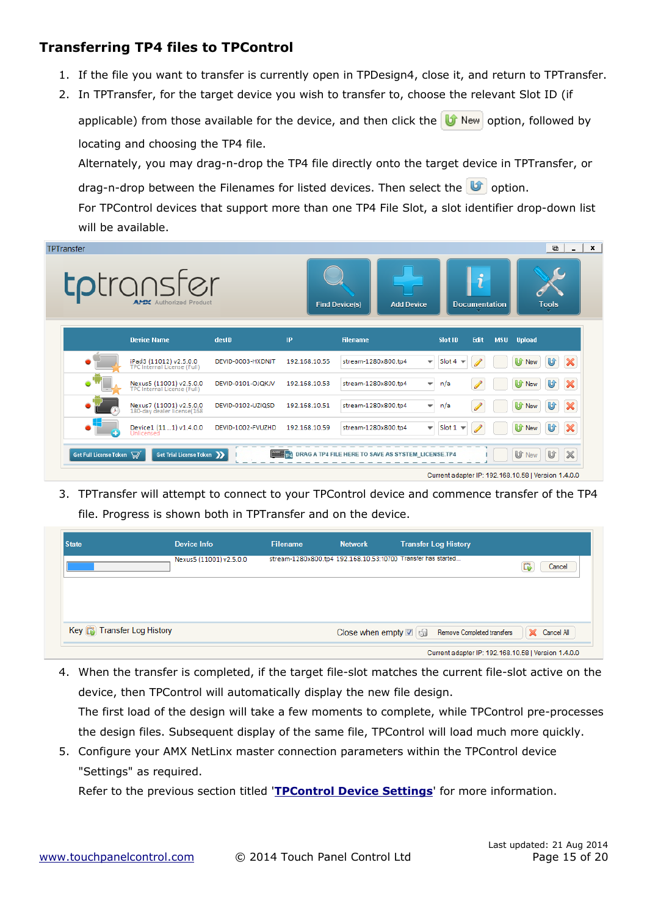### **Transferring TP4 files to TPControl**

- 1. If the file you want to transfer is currently open in TPDesign4, close it, and return to TPTransfer.
- 2. In TPTransfer, for the target device you wish to transfer to, choose the relevant Slot ID (if

applicable) from those available for the device, and then click the  $\|\mathbf{U}\|$  New option, followed by locating and choosing the TP4 file.

Alternately, you may drag-n-drop the TP4 file directly onto the target device in TPTransfer, or drag-n-drop between the Filenames for listed devices. Then select the  $\mathbf{U}$  option.

For TPControl devices that support more than one TP4 File Slot, a slot identifier drop-down list will be available.

| <b>TPTransfer</b>      | <b>tp</b> transfer<br><b>APEX</b> Authorized Product   |                   |               | <b>Find Device(s)</b><br><b>Add Device</b>         |                                           | $\mathbf{r}$<br><b>Documentation</b> | $\blacksquare$<br>$\overline{\phantom{0}}$<br><b>Tools</b>                              | × |
|------------------------|--------------------------------------------------------|-------------------|---------------|----------------------------------------------------|-------------------------------------------|--------------------------------------|-----------------------------------------------------------------------------------------|---|
|                        | <b>Device Name</b>                                     | devID             | <b>IP</b>     | <b>Filename</b>                                    | Slot ID                                   | Edit<br><b>MSU</b>                   | <b>Upload</b>                                                                           |   |
|                        | iPad3 (11012) v2.5.0.0<br>TPC Internal License (Full)  | DEVID-0003-HXDNJT | 192.168.10.55 | stream-1280x800.tp4                                | Slot $4 \neq$<br>$\overline{\phantom{a}}$ |                                      | $\boldsymbol{\mathbb{X}}$<br>U<br><b>U</b> f New                                        |   |
|                        | Nexus5 (11001) v2.5.0.0<br>TPC Internal License (Full) | DEVID-0101-OJQKJV | 192.168.10.53 | stream-1280x800.tp4                                | n/a<br>$\overline{\phantom{a}}$           |                                      | $\boldsymbol{\varkappa}$<br>U<br><b>U</b> f New                                         |   |
|                        | Nexus7 (11001) v2.5.0.0<br>180-day dealer license(168  | DEVID-0102-UZIQSD | 192.168.10.51 | stream-1280x800.tp4                                | n/a<br>$\overline{\mathbf{v}}$            |                                      | $\boldsymbol{\mathsf{x}}$<br>U<br><b>U</b> f New                                        |   |
|                        | Device1 (111) v1.4.0.0<br>Unlicensed                   | DEVID-1002-FVUZHD | 192.168.10.59 | stream-1280x800.tp4                                | Slot $1 -$<br>$\overline{\mathbf{v}}$     |                                      | $\boldsymbol{\mathsf{x}}$<br>U<br>U<br><b>New</b>                                       |   |
| Get Full License Token | Get Trial License Token                                |                   | P4            | DRAG A TP4 FILE HERE TO SAVE AS SYSTEM_LICENSE.TP4 |                                           |                                      | $\mathbb X$<br>U<br><b>U</b> New<br>Current adapter IP: 192.168.10.58   Version 1.4.0.0 |   |

3. TPTransfer will attempt to connect to your TPControl device and commence transfer of the TP4 file. Progress is shown both in TPTransfer and on the device.

| <b>State</b>                                  | <b>Device Info</b>      | <b>Filename</b>                                              | <b>Network</b>               | <b>Transfer Log History</b>                         |                                     |
|-----------------------------------------------|-------------------------|--------------------------------------------------------------|------------------------------|-----------------------------------------------------|-------------------------------------|
|                                               | Nexus5 (11001) v2.5.0.0 | stream-1280x800.tp4 192.168.10.53:10700 Transfer has started |                              |                                                     | Cancel<br>Lв                        |
|                                               |                         |                                                              |                              |                                                     |                                     |
|                                               |                         |                                                              |                              |                                                     |                                     |
| Key <b>C<sub>B</sub></b> Transfer Log History |                         |                                                              | Close when empty <b>⊠</b> ଗୁ | Remove Completed transfers                          | Cancel All<br>$\mathbb{\mathbb{X}}$ |
|                                               |                         |                                                              |                              | Current adapter IP: 192.168.10.58   Version 1.4.0.0 |                                     |

- 4. When the transfer is completed, if the target file-slot matches the current file-slot active on the device, then TPControl will automatically display the new file design. The first load of the design will take a few moments to complete, while TPControl pre-processes the design files. Subsequent display of the same file, TPControl will load much more quickly.
- 5. Configure your AMX NetLinx master connection parameters within the TPControl device "Settings" as required.

Refer to the previous section titled '**[TPControl Device Settings](#page-2-0)**' for more information.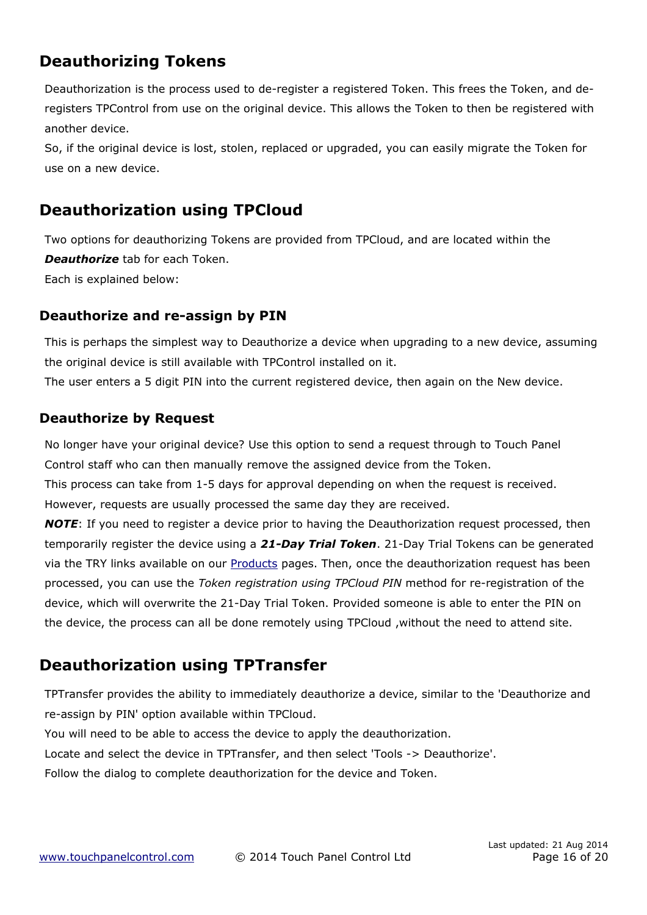# **Deauthorizing Tokens**

Deauthorization is the process used to de-register a registered Token. This frees the Token, and deregisters TPControl from use on the original device. This allows the Token to then be registered with another device.

So, if the original device is lost, stolen, replaced or upgraded, you can easily migrate the Token for use on a new device.

## **Deauthorization using TPCloud**

Two options for deauthorizing Tokens are provided from TPCloud, and are located within the *Deauthorize* tab for each Token. Each is explained below:

### **Deauthorize and re-assign by PIN**

This is perhaps the simplest way to Deauthorize a device when upgrading to a new device, assuming the original device is still available with TPControl installed on it. The user enters a 5 digit PIN into the current registered device, then again on the New device.

### **Deauthorize by Request**

No longer have your original device? Use this option to send a request through to Touch Panel Control staff who can then manually remove the assigned device from the Token.

This process can take from 1-5 days for approval depending on when the request is received. However, requests are usually processed the same day they are received.

*NOTE*: If you need to register a device prior to having the Deauthorization request processed, then temporarily register the device using a *21-Day Trial Token*. 21-Day Trial Tokens can be generated via the TRY links available on our **Products** pages. Then, once the deauthorization request has been processed, you can use the *[Token registration using TPCloud PIN](#page-7-0)* method for re-registration of the device, which will overwrite the 21-Day Trial Token. Provided someone is able to enter the PIN on the device, the process can all be done remotely using TPCloud ,without the need to attend site.

## **Deauthorization using TPTransfer**

TPTransfer provides the ability to immediately deauthorize a device, similar to the 'Deauthorize and re-assign by PIN' option available within TPCloud.

You will need to be able to access the device to apply the deauthorization.

Locate and select the device in TPTransfer, and then select 'Tools -> Deauthorize'.

Follow the dialog to complete deauthorization for the device and Token.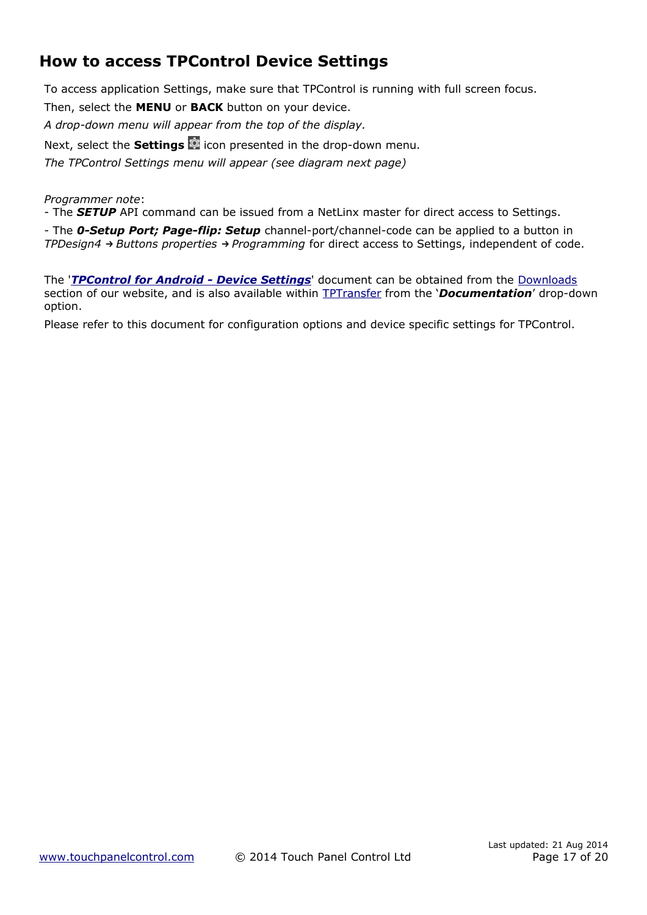# <span id="page-16-0"></span>**How to access TPControl Device Settings**

To access application Settings, make sure that TPControl is running with full screen focus. Then, select the **MENU** or **BACK** button on your device.

*A drop-down menu will appear from the top of the display.*

Next, select the **Settings**  $\bullet$  icon presented in the drop-down menu.

*The TPControl Settings menu will appear (see diagram next page)*

*Programmer note*:

- The *SETUP* API command can be issued from a NetLinx master for direct access to Settings.

- The *0-Setup Port; Page-flip: Setup* channel-port/channel-code can be applied to a button in *TPDesign4 → Buttons properties → Programming* for direct access to Settings, independent of code.

The '*TPControl for Android - Device Settings'* document can be obtained from the [Downloads](http://www.touchpanelcontrol.com/catalog/product/download) section of our website, and is also available within [TPTransfer](https://www.touchpanelcontrol.com/catalog/product/redirect/type/tptransfer/latest/1/s/w) from the '*Documentation*' drop-down option.

Please refer to this document for configuration options and device specific settings for TPControl.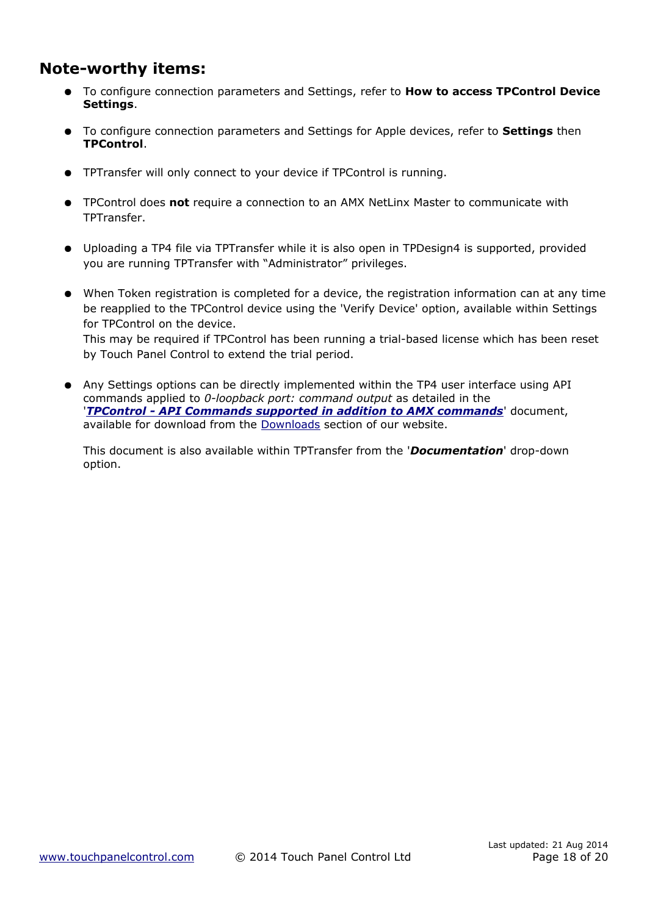### **Note-worthy items:**

- To configure connection parameters and Settings, refer to **[How to access TPControl Device](#page-16-0)  [Settings](#page-16-0)**.
- To configure connection parameters and Settings for Apple devices, refer to **Settings** then **TPControl**.
- TPTransfer will only connect to your device if TPControl is running.
- TPControl does **not** require a connection to an AMX NetLinx Master to communicate with TPTransfer.
- Uploading a TP4 file via TPTransfer while it is also open in TPDesign4 is supported, provided you are running TPTransfer with "Administrator" privileges.
- When Token registration is completed for a device, the registration information can at any time be reapplied to the TPControl device using the 'Verify Device' option, available within Settings for TPControl on the device. This may be required if TPControl has been running a trial-based license which has been reset by Touch Panel Control to extend the trial period.
- Any Settings options can be directly implemented within the TP4 user interface using API commands applied to *0-loopback port: command output* as detailed in the '*[TPControl - API Commands supported in addition to AMX commands](http://www.touchpanelcontrol.com/files/pdf/TPControl%20-%20API%20Commands%20supported%20in%20addition%20to%20AMX%20commands.pdf)*' document, available for download from the [Downloads](http://www.touchpanelcontrol.com/catalog/product/download) section of our website.

This document is also available within TPTransfer from the '*Documentation*' drop-down option.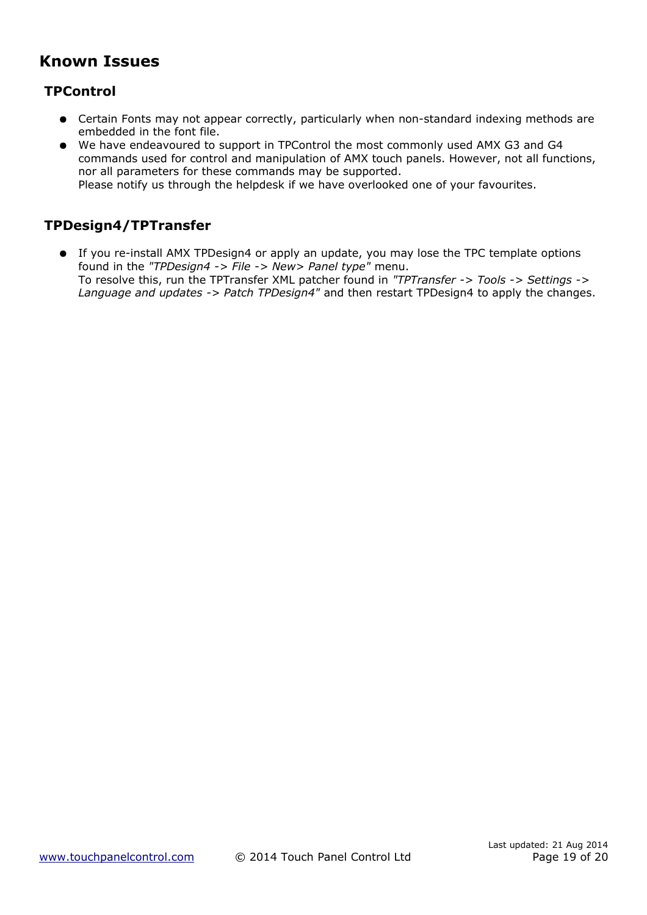## **Known Issues**

### **TPControl**

- Certain Fonts may not appear correctly, particularly when non-standard indexing methods are embedded in the font file.
- We have endeavoured to support in TPControl the most commonly used AMX G3 and G4 commands used for control and manipulation of AMX touch panels. However, not all functions, nor all parameters for these commands may be supported.

Please notify us through the helpdesk if we have overlooked one of your favourites.

### **TPDesign4/TPTransfer**

● If you re-install AMX TPDesign4 or apply an update, you may lose the TPC template options found in the *"TPDesign4 -> File -> New> Panel type"* menu. To resolve this, run the TPTransfer XML patcher found in *"TPTransfer -> Tools -> Settings -> Language and updates -> Patch TPDesign4"* and then restart TPDesign4 to apply the changes.